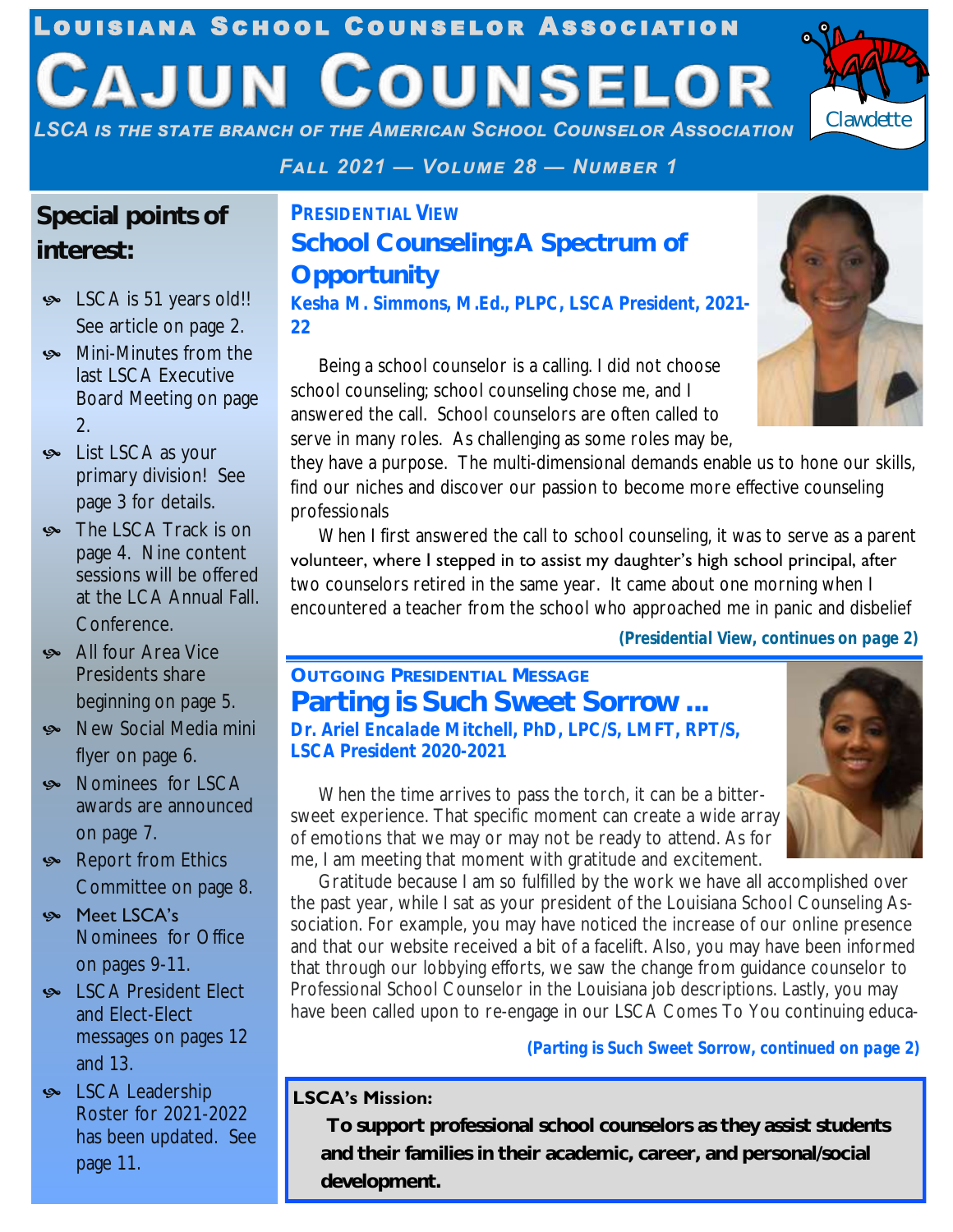## Louisiana School Counselor Association **CAJUN COUNSELOR**



*LSCA is the state branch of the American School Counselor Association*

*Fall 2021 — Volume 28 — Number 1*

#### **Special points of interest:**

- SCA is 51 years old!! See article on page 2.
- **Solution** Mini-Minutes from the last LSCA Executive Board Meeting on page 2.
- **ex** List LSCA as your primary division! See page 3 for details.
- The LSCA Track is on page 4. Nine content sessions will be offered at the LCA Annual Fall. Conference.
- All four Area Vice Presidents share beginning on page 5.
- Social Media mini flyer on page 6.
- **Solution** Nominees for LSCA awards are announced on page 7.
- Report from Ethics Committee on page 8.
- Meet LSCA's Nominees for Office on pages 9-11.
- **Solution** LSCA President Elect and Elect-Elect messages on pages 12 and 13.
- **SCA Leadership** Roster for 2021-2022 has been updated. See page 11.

*PRESIDENTIAL VIEW* **School Counseling: A Spectrum of Opportunity** *Kesha M. Simmons, M.Ed., PLPC, LSCA President, 2021- 22*

Being a school counselor is a calling. I did not choose school counseling; school counseling chose me, and I answered the call. School counselors are often called to serve in many roles. As challenging as some roles may be,

they have a purpose. The multi-dimensional demands enable us to hone our skills, find our niches and discover our passion to become more effective counseling professionals

When I first answered the call to school counseling, it was to serve as a parent volunteer, where I stepped in to assist my daughter's high school principal, after two counselors retired in the same year. It came about one morning when I encountered a teacher from the school who approached me in panic and disbelief

*(Presidential View, continues on page 2)*

#### **OUTGOING PRESIDENTIAL MESSAGE Parting is Such Sweet Sorrow ...** *Dr. Ariel Encalade Mitchell, PhD, LPC/S, LMFT, RPT/S, LSCA President 2020-2021*

When the time arrives to pass the torch, it can be a bittersweet experience. That specific moment can create a wide array of emotions that we may or may not be ready to attend. As for me, I am meeting that moment with gratitude and excitement.



Gratitude because I am so fulfilled by the work we have all accomplished over the past year, while I sat as your president of the Louisiana School Counseling Association. For example, you may have noticed the increase of our online presence and that our website received a bit of a facelift. Also, you may have been informed that through our lobbying efforts, we saw the change from guidance counselor to Professional School Counselor in the Louisiana job descriptions. Lastly, you may have been called upon to re-engage in our LSCA Comes To You continuing educa-

*(Parting is Such Sweet Sorrow, continued on page 2)*

#### **LSCA's Mission:**

**FALL 2021 CAJUN COUNSELOR PAGE 1 To support professional school counselors as they assist students and their families in their academic, career, and personal/social development.**

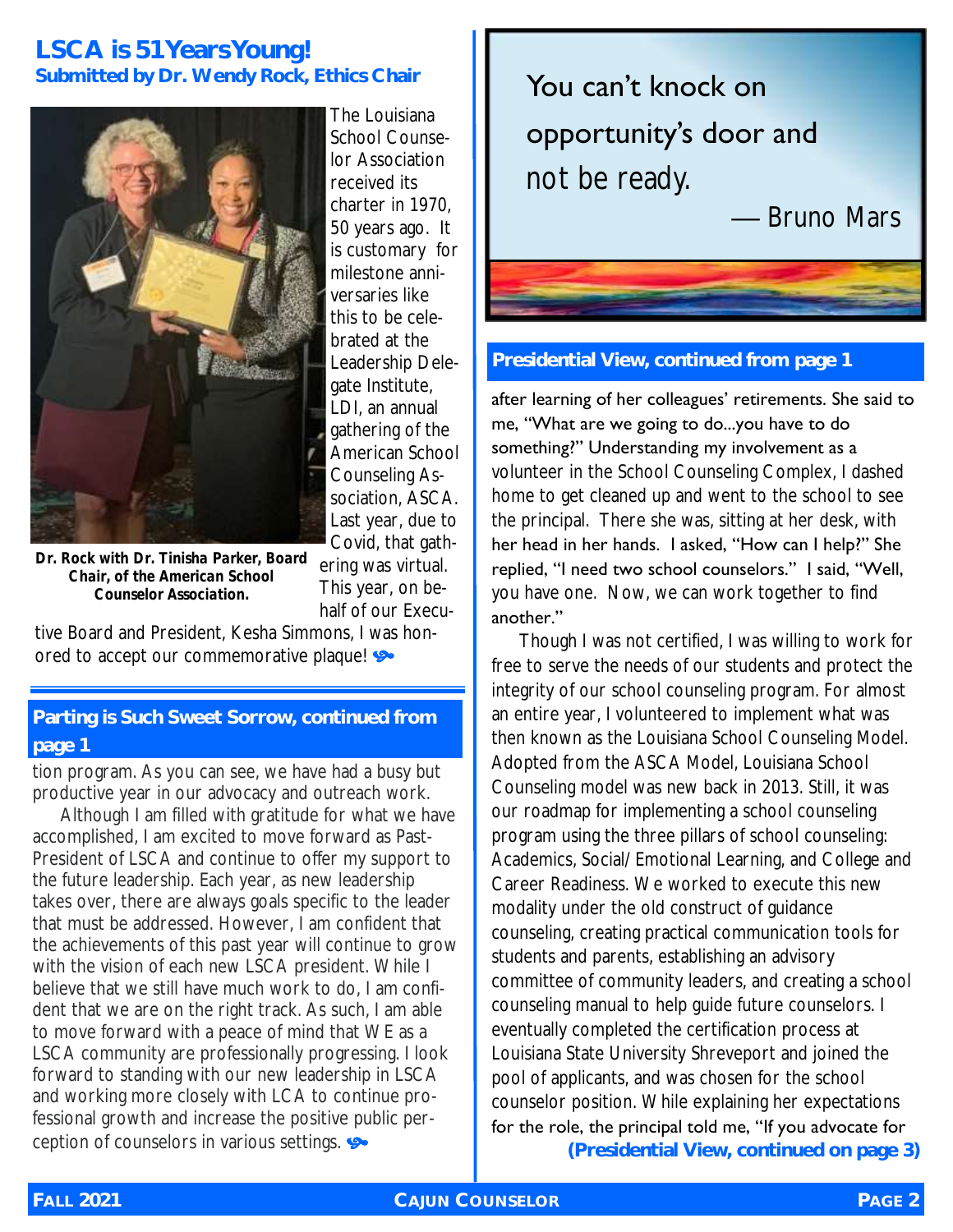#### **LSCA is 51 Years Young! Submitted by Dr. Wendy Rock, Ethics Chair**



The Louisiana School Counselor Association received its charter in 1970, 50 years ago. It is customary for milestone anniversaries like this to be celebrated at the Leadership Delegate Institute, LDI, an annual gathering of the American School Counseling Association, ASCA. Last year, due to Covid, that gathering was virtual.

*Dr. Rock with Dr. Tinisha Parker, Board Chair, of the American School Counselor Association.*

This year, on behalf of our Executive Board and President, Kesha Simmons, I was hon-

ored to accept our commemorative plaque!

#### **Parting is Such Sweet Sorrow, continued from page 1**

tion program. As you can see, we have had a busy but productive year in our advocacy and outreach work.

Although I am filled with gratitude for what we have accomplished, I am excited to move forward as Past-President of LSCA and continue to offer my support to the future leadership. Each year, as new leadership takes over, there are always goals specific to the leader that must be addressed. However, I am confident that the achievements of this past year will continue to grow with the vision of each new LSCA president. While I believe that we still have much work to do, I am confident that we are on the right track. As such, I am able to move forward with a peace of mind that WE as a LSCA community are professionally progressing. I look forward to standing with our new leadership in LSCA and working more closely with LCA to continue professional growth and increase the positive public perception of counselors in various settings.



#### **Presidential View, continued from page 1**

after learning of her colleagues' retirements. She said to me, "What are we going to do...you have to do something?" Understanding my involvement as a volunteer in the School Counseling Complex, I dashed home to get cleaned up and went to the school to see the principal. There she was, sitting at her desk, with her head in her hands. I asked, "How can I help?" She replied, "I need two school counselors." I said, "Well, you have one. Now, we can work together to find another."

Though I was not certified, I was willing to work for free to serve the needs of our students and protect the integrity of our school counseling program. For almost an entire year, I volunteered to implement what was then known as the Louisiana School Counseling Model. Adopted from the ASCA Model, Louisiana School Counseling model was new back in 2013. Still, it was our roadmap for implementing a school counseling program using the three pillars of school counseling: Academics, Social/ Emotional Learning, and College and Career Readiness. We worked to execute this new modality under the old construct of guidance counseling, creating practical communication tools for students and parents, establishing an advisory committee of community leaders, and creating a school counseling manual to help guide future counselors. I eventually completed the certification process at Louisiana State University Shreveport and joined the pool of applicants, and was chosen for the school counselor position. While explaining her expectations for the role, the principal told me, "If you advocate for **(Presidential View, continued on page 3)**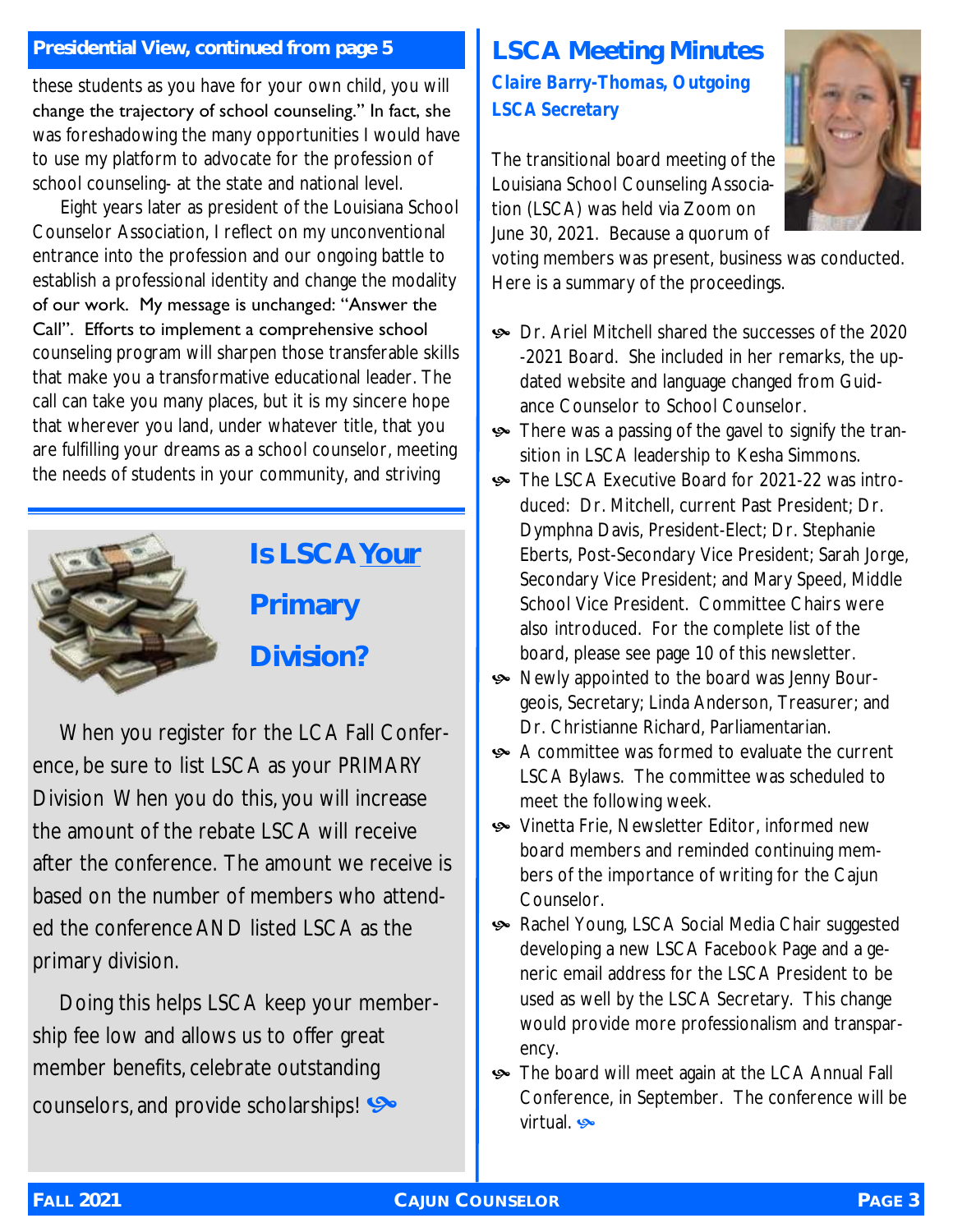#### **Presidential View, continued from page 5**

these students as you have for your own child, you will change the trajectory of school counseling." In fact, she was foreshadowing the many opportunities I would have to use my platform to advocate for the profession of school counseling- at the state and national level.

Eight years later as president of the Louisiana School Counselor Association, I reflect on my unconventional entrance into the profession and our ongoing battle to establish a professional identity and change the modality of our work. My message is unchanged: "Answer the Call". Efforts to implement a comprehensive school counseling program will sharpen those transferable skills that make you a transformative educational leader. The call can take you many places, but it is my sincere hope that wherever you land, under whatever title, that you are fulfilling your dreams as a school counselor, meeting the needs of students in your community, and striving



**Is LSCA Your Primary** 

**Division?**

When you register for the LCA Fall Conference, be sure to list LSCA as your PRIMARY Division When you do this, you will increase the amount of the rebate LSCA will receive after the conference. The amount we receive is based on the number of members who attended the conference AND listed LSCA as the primary division.

Doing this helps LSCA keep your membership fee low and allows us to offer great member benefits, celebrate outstanding counselors, and provide scholarships!

#### **LSCA Meeting Minutes** *Claire Barry-Thomas, Outgoing LSCA Secretary*

The transitional board meeting of the Louisiana School Counseling Association (LSCA) was held via Zoom on June 30, 2021. Because a quorum of



voting members was present, business was conducted. Here is a summary of the proceedings.

- Dr. Ariel Mitchell shared the successes of the 2020 -2021 Board. She included in her remarks, the updated website and language changed from Guidance Counselor to School Counselor.
- There was a passing of the gavel to signify the transition in LSCA leadership to Kesha Simmons.
- The LSCA Executive Board for 2021-22 was introduced: Dr. Mitchell, current Past President; Dr. Dymphna Davis, President-Elect; Dr. Stephanie Eberts, Post-Secondary Vice President; Sarah Jorge, Secondary Vice President; and Mary Speed, Middle School Vice President. Committee Chairs were also introduced. For the complete list of the board, please see page 10 of this newsletter.
- Newly appointed to the board was Jenny Bourgeois, Secretary; Linda Anderson, Treasurer; and Dr. Christianne Richard, Parliamentarian.
- A committee was formed to evaluate the current LSCA Bylaws. The committee was scheduled to meet the following week.
- Vinetta Frie, Newsletter Editor, informed new board members and reminded continuing members of the importance of writing for the Cajun Counselor.
- Rachel Young, LSCA Social Media Chair suggested developing a new LSCA Facebook Page and a generic email address for the LSCA President to be used as well by the LSCA Secretary. This change would provide more professionalism and transparency.
- **Solution** The board will meet again at the LCA Annual Fall Conference, in September. The conference will be virtual s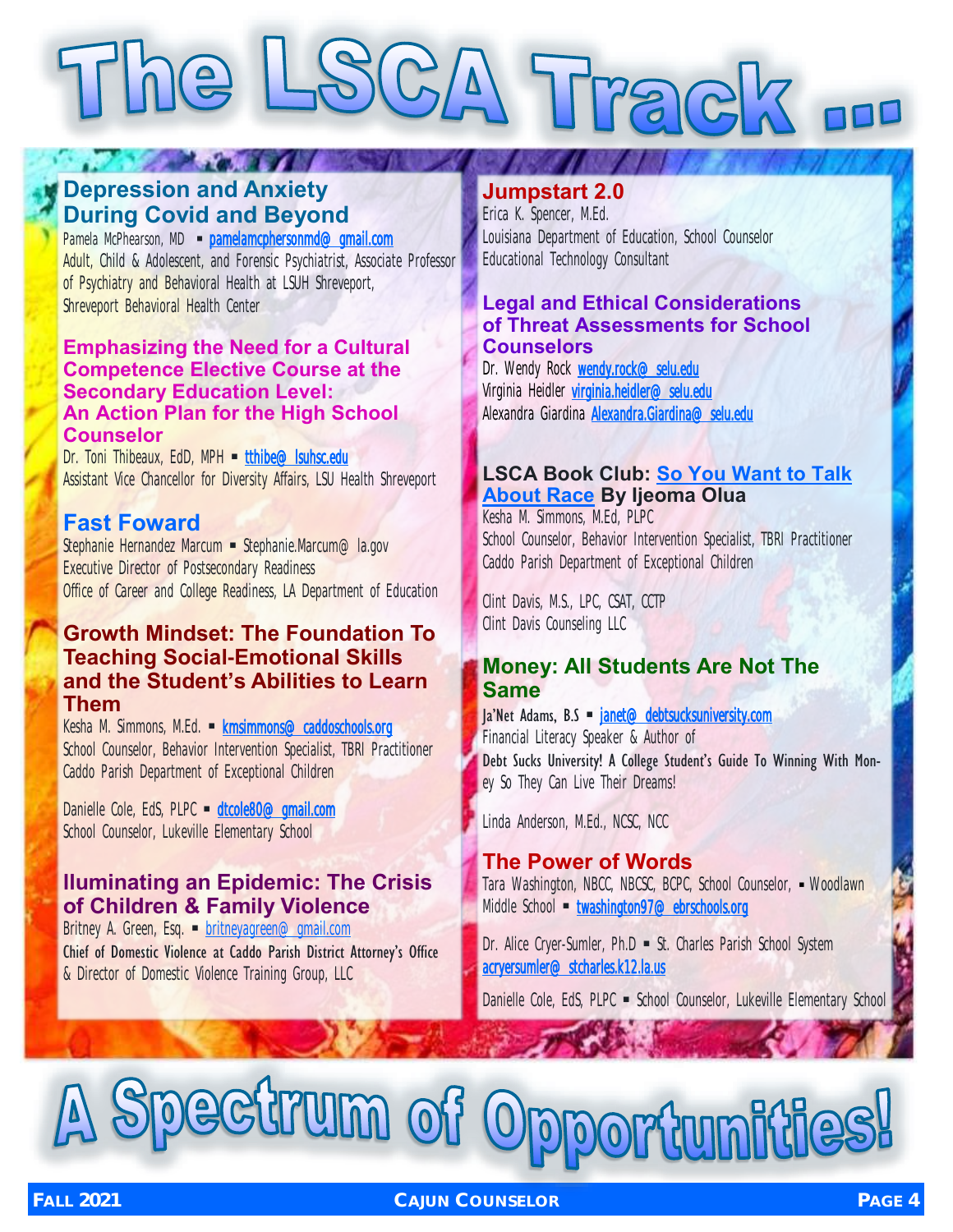# The LSCA Track ...

#### **Depression and Anxiety During Covid and Beyond**

*CONTRACTOR* 

Pamela McPhearson, MD • [pamelamcphersonmd@gmail.com](mailto:pamelamcphersonmd@gmail.com) Adult, Child & Adolescent, and Forensic Psychiatrist, Associate Professor of Psychiatry and Behavioral Health at LSUH Shreveport, Shreveport Behavioral Health Center

#### **Emphasizing the Need for a Cultural Competence Elective Course at the Secondary Education Level: An Action Plan for the High School Counselor**

Dr. Toni Thibeaux, EdD, MPH = tthibe@lsuhsc.edu Assistant Vice Chancellor for Diversity Affairs, LSU Health Shreveport

#### **Fast Foward**

Stephanie Hernandez Marcum • Stephanie.Marcum@la.gov Executive Director of Postsecondary Readiness Office of Career and College Readiness, LA Department of Education

#### **Growth Mindset: The Foundation To Teaching Social-Emotional Skills and the Student's Abilities to Learn Them**

Kesha M. Simmons, M.Ed. · kmsimmons@caddoschools.org School Counselor, Behavior Intervention Specialist, TBRI Practitioner Caddo Parish Department of Exceptional Children

Danielle Cole, EdS, PLPC · dtcole80@gmail.com School Counselor, Lukeville Elementary School

#### **lluminating an Epidemic: The Crisis of Children & Family Violence**

Britney A. Green, Esq. • [britneyagreen@gmail.com](mailto:britneyagreen@gmail.com) Chief of Domestic Violence at Caddo Parish District Attorney's Office & Director of Domestic Violence Training Group, LLC

#### **Jumpstart 2.0**

Erica K. Spencer, M.Ed. Louisiana Department of Education, School Counselor Educational Technology Consultant

#### **Legal and Ethical Considerations of Threat Assessments for School Counselors**

Dr. Wendy Rock wendy.rock@selu.edu Virginia Heidler [virginia.heidler@selu.edu](mailto:virginia.heidler@selu.edu) Alexandra Giardina [Alexandra.Giardina@selu.edu](mailto:Alexandra.Giardina@selu.edu) 

#### **LSCA Book Club: [So You Want to Talk](https://www.indiebound.org/book/9781580058827)  [About Race](https://www.indiebound.org/book/9781580058827) By Ijeoma Olua**

Kesha M. Simmons, M.Ed, PLPC School Counselor, Behavior Intervention Specialist, TBRI Practitioner Caddo Parish Department of Exceptional Children

Clint Davis, M.S., LPC, CSAT, CCTP Clint Davis Counseling LLC

#### **Money: All Students Are Not The Same**

 $|a'$ Net Adams, B.S  $\blacksquare$  janet@debtsucksuniversity.com Financial Literacy Speaker & Author of Debt Sucks University! A College Student's Guide To Winning With Money So They Can Live Their Dreams!

Linda Anderson, M.Ed., NCSC, NCC

#### **The Power of Words** Tara Washington, NBCC, NBCSC, BCPC, School Counselor, · Woodlawn Middle School • twashington97@ebrschools.org

Dr. Alice Cryer-Sumler, Ph.D • St. Charles Parish School System acryersumler@stcharles.k12.la.us

Danielle Cole, EdS, PLPC · School Counselor, Lukeville Elementary School

## ectrum o **ortunities!**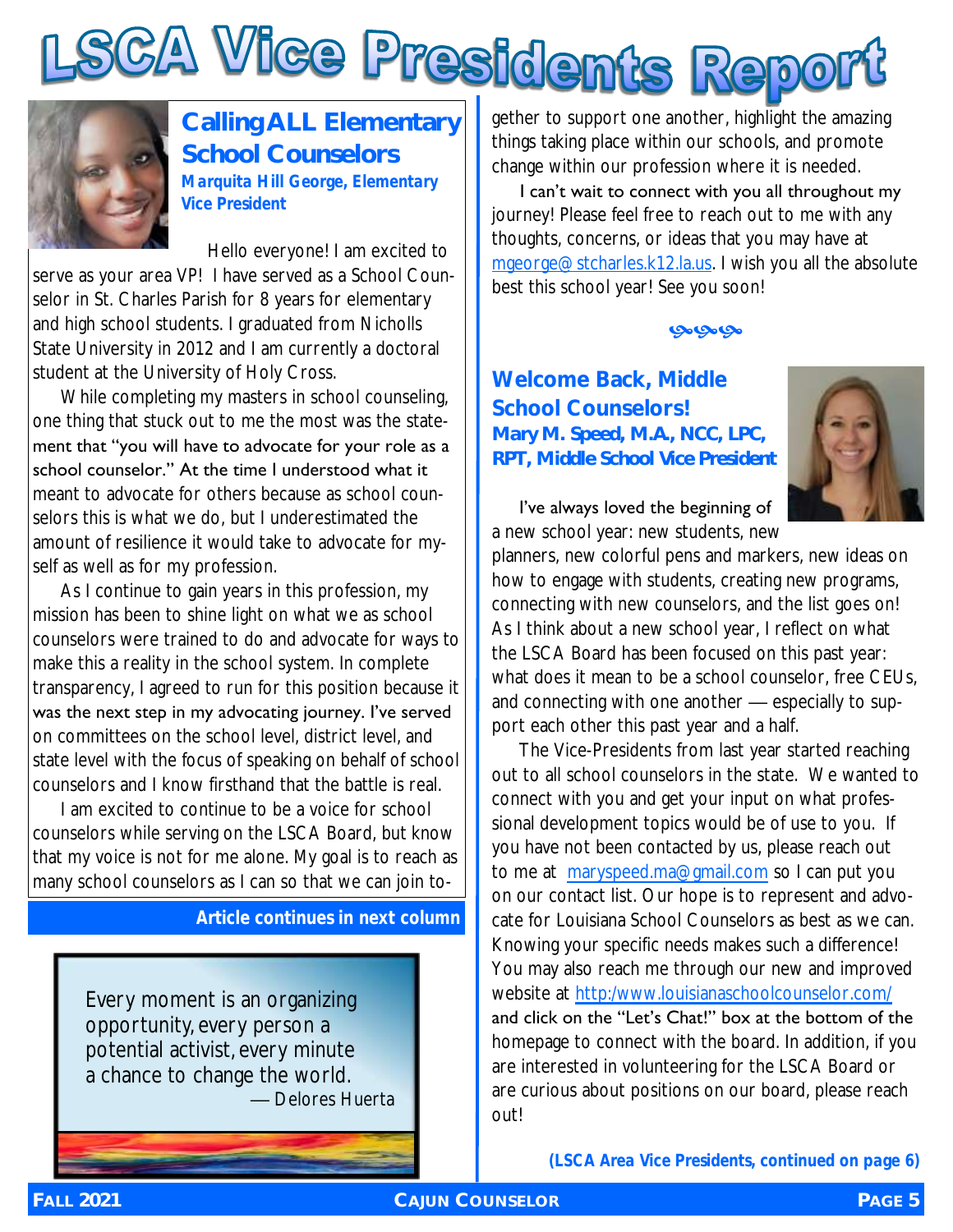



**Calling ALL Elementary School Counselors** *Marquita Hill George, Elementary Vice President*

 Hello everyone! I am excited to serve as your area VP! I have served as a School Counselor in St. Charles Parish for 8 years for elementary and high school students. I graduated from Nicholls State University in 2012 and I am currently a doctoral student at the University of Holy Cross.

While completing my masters in school counseling, one thing that stuck out to me the most was the statement that "you will have to advocate for your role as a school counselor." At the time I understood what it meant to advocate for others because as school counselors this is what we do, but I underestimated the amount of resilience it would take to advocate for myself as well as for my profession.

As I continue to gain years in this profession, my mission has been to shine light on what we as school counselors were trained to do and advocate for ways to make this a reality in the school system. In complete transparency, I agreed to run for this position because it was the next step in my advocating journey. I've served on committees on the school level, district level, and state level with the focus of speaking on behalf of school counselors and I know firsthand that the battle is real.

I am excited to continue to be a voice for school counselors while serving on the LSCA Board, but know that my voice is not for me alone. My goal is to reach as many school counselors as I can so that we can join to-

#### *Article continues in next column*

Every moment is an organizing opportunity, every person a potential activist, every minute a chance to change the world. — Delores Huerta things taking place within our schools, and promote change within our profession where it is needed.

I can't wait to connect with you all throughout my journey! Please feel free to reach out to me with any thoughts, concerns, or ideas that you may have at [mgeorge@stcharles.k12.la.us.](mailto:mgeorge@stcharles.k12.la.us) I wish you all the absolute best this school year! See you soon!

#### مومومو

#### **Welcome Back, Middle School Counselors!**  *Mary M. Speed, M.A., NCC, LPC, RPT, Middle School Vice President*



I've always loved the beginning of a new school year: new students, new

planners, new colorful pens and markers, new ideas on how to engage with students, creating new programs, connecting with new counselors, and the list goes on! As I think about a new school year, I reflect on what the LSCA Board has been focused on this past year: what does it mean to be a school counselor, free CEUs, and connecting with one another — especially to support each other this past year and a half.

The Vice-Presidents from last year started reaching out to all school counselors in the state. We wanted to connect with you and get your input on what professional development topics would be of use to you. If you have not been contacted by us, please reach out to me at [maryspeed.ma@gmail.com](mailto:maryspeed.ma@gmail.com) so I can put you on our contact list. Our hope is to represent and advocate for Louisiana School Counselors as best as we can. Knowing your specific needs makes such a difference! You may also reach me through our new and improved website at [http:/www.louisianaschoolcounselor.com/](http://www.louisianaschoolcounselor.com/) and click on the "Let's Chat!" box at the bottom of the homepage to connect with the board. In addition, if you are interested in volunteering for the LSCA Board or are curious about positions on our board, please reach out!

*(LSCA Area Vice Presidents, continued on page 6)*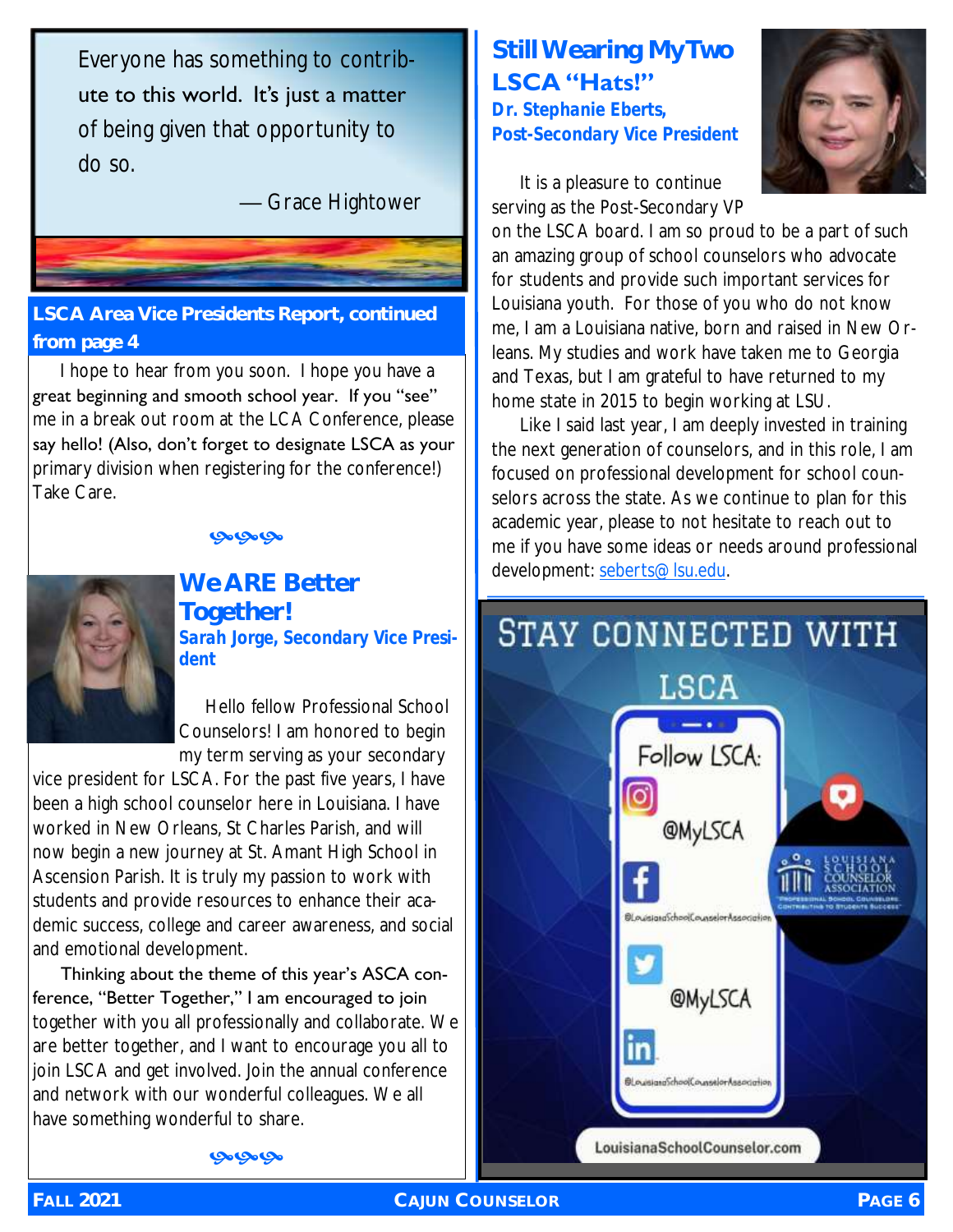Everyone has something to contribute to this world. It's just a matter of being given that opportunity to do so.

— Grace Hightower

#### **LSCA Area Vice Presidents Report, continued from page 4**

I hope to hear from you soon. I hope you have a great beginning and smooth school year. If you "see" me in a break out room at the LCA Conference, please say hello! (Also, don't forget to designate LSCA as your primary division when registering for the conference!) Take Care.

#### مومومو



#### **We ARE Better Together!** *Sarah Jorge, Secondary Vice President*

 Hello fellow Professional School Counselors! I am honored to begin my term serving as your secondary

vice president for LSCA. For the past five years, I have been a high school counselor here in Louisiana. I have worked in New Orleans, St Charles Parish, and will now begin a new journey at St. Amant High School in Ascension Parish. It is truly my passion to work with students and provide resources to enhance their academic success, college and career awareness, and social and emotional development.

Thinking about the theme of this year's ASCA conference, "Better Together," I am encouraged to join together with you all professionally and collaborate. We are better together, and I want to encourage you all to join LSCA and get involved. Join the annual conference and network with our wonderful colleagues. We all have something wonderful to share.

### **Still Wearing My Two LSCA "Hats!"**

*Dr. Stephanie Eberts, Post-Secondary Vice President*



It is a pleasure to continue serving as the Post-Secondary VP

on the LSCA board. I am so proud to be a part of such an amazing group of school counselors who advocate for students and provide such important services for Louisiana youth. For those of you who do not know me, I am a Louisiana native, born and raised in New Orleans. My studies and work have taken me to Georgia and Texas, but I am grateful to have returned to my home state in 2015 to begin working at LSU.

Like I said last year, I am deeply invested in training the next generation of counselors, and in this role, I am focused on professional development for school counselors across the state. As we continue to plan for this academic year, please to not hesitate to reach out to me if you have some ideas or needs around professional development: [seberts@lsu.edu.](mailto:seberts@lsu.edu)

## STAY CONNECTED WITH LSCA Follow LSCA: [o o **@MyLSCA El puissana**SchoolCounselorAssociatio **@MyLSCA** in isianaSchoolCounselorAssociati LouisianaSchoolCounselor.com

مومومو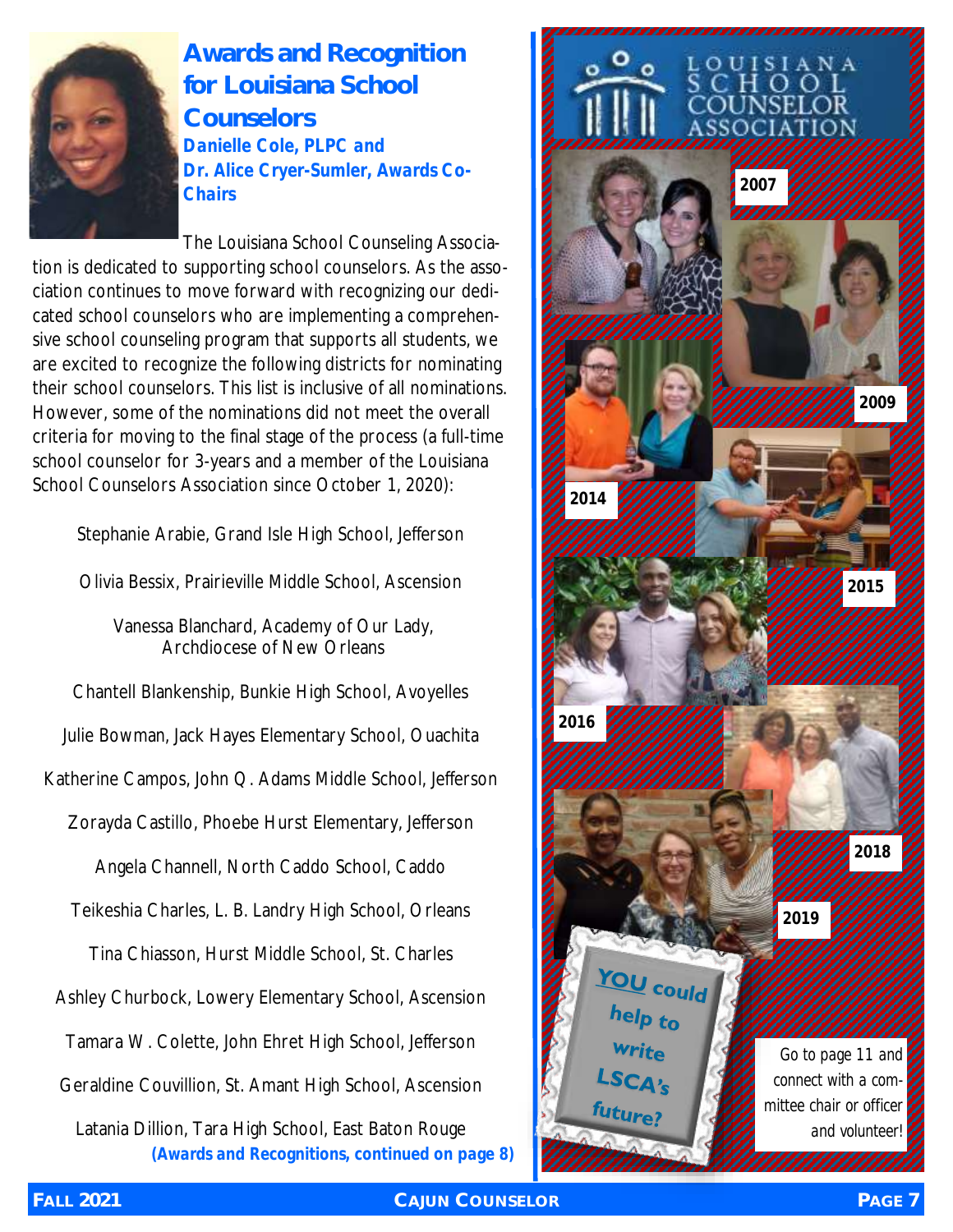

#### **Awards and Recognition for Louisiana School Counselors** *Danielle Cole, PLPC and Dr. Alice Cryer-Sumler, Awards Co-Chairs*

The Louisiana School Counseling Association is dedicated to supporting school counselors. As the association continues to move forward with recognizing our dedicated school counselors who are implementing a comprehensive school counseling program that supports all students, we are excited to recognize the following districts for nominating their school counselors. This list is inclusive of all nominations. However, some of the nominations did not meet the overall criteria for moving to the final stage of the process (a full-time school counselor for 3-years and a member of the Louisiana School Counselors Association since October 1, 2020):

Stephanie Arabie, Grand Isle High School, Jefferson

Olivia Bessix, Prairieville Middle School, Ascension

Vanessa Blanchard, Academy of Our Lady, Archdiocese of New Orleans

Chantell Blankenship, Bunkie High School, Avoyelles

Julie Bowman, Jack Hayes Elementary School, Ouachita

Katherine Campos, John Q. Adams Middle School, Jefferson

Zorayda Castillo, Phoebe Hurst Elementary, Jefferson

Angela Channell, North Caddo School, Caddo

Teikeshia Charles, L. B. Landry High School, Orleans

Tina Chiasson, Hurst Middle School, St. Charles

Ashley Churbock, Lowery Elementary School, Ascension

Tamara W. Colette, John Ehret High School, Jefferson

Geraldine Couvillion, St. Amant High School, Ascension

Latania Dillion, Tara High School, East Baton Rouge *(Awards and Recognitions, continued on page 8)*

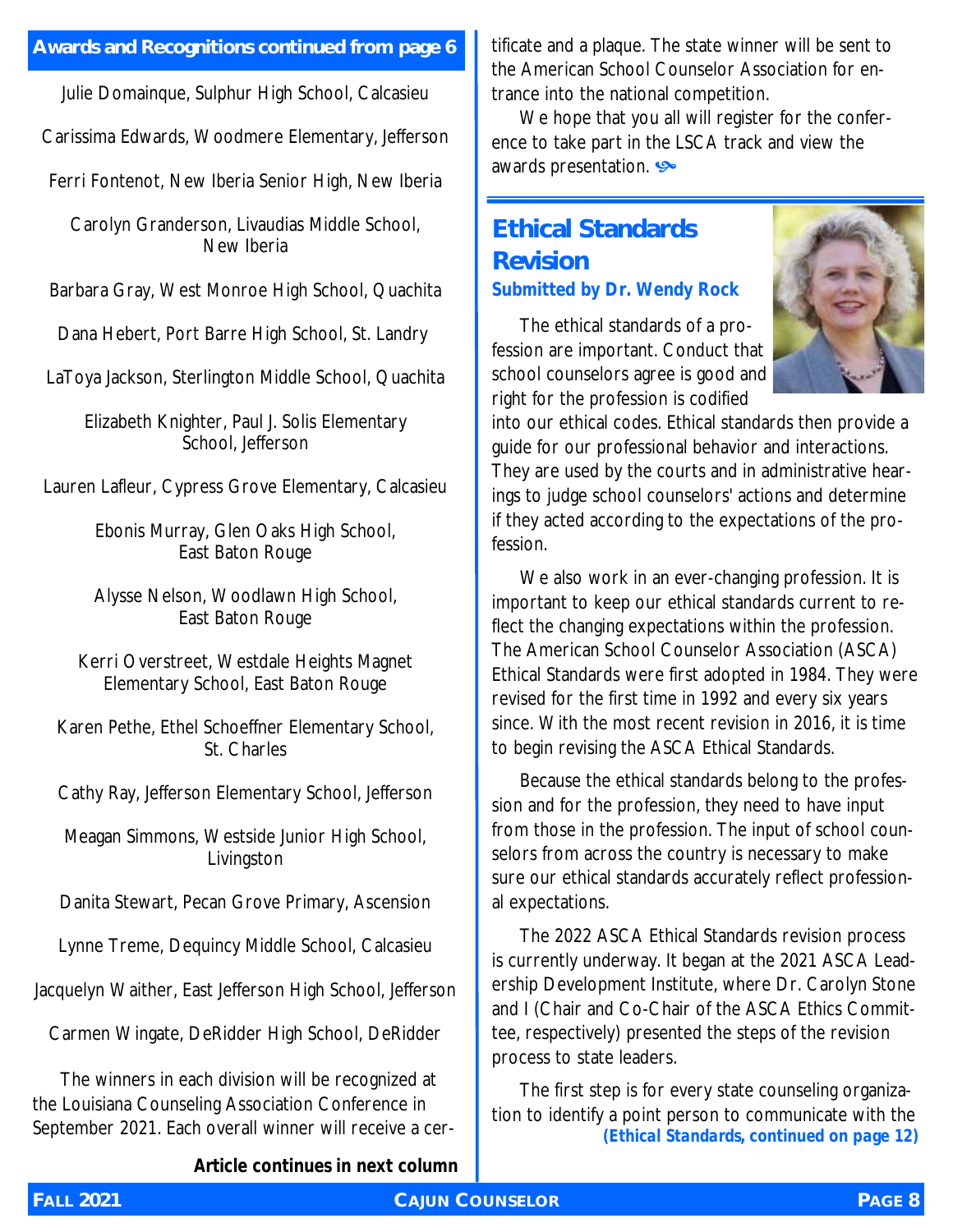#### **Awards and Recognitions continued from page 6**

Julie Domainque, Sulphur High School, Calcasieu

Carissima Edwards, Woodmere Elementary, Jefferson

Ferri Fontenot, New Iberia Senior High, New Iberia

Carolyn Granderson, Livaudias Middle School, New Iberia

Barbara Gray, West Monroe High School, Quachita

Dana Hebert, Port Barre High School, St. Landry

LaToya Jackson, Sterlington Middle School, Quachita

Elizabeth Knighter, Paul J. Solis Elementary School, Jefferson

Lauren Lafleur, Cypress Grove Elementary, Calcasieu

Ebonis Murray, Glen Oaks High School, East Baton Rouge

Alysse Nelson, Woodlawn High School, East Baton Rouge

Kerri Overstreet, Westdale Heights Magnet Elementary School, East Baton Rouge

Karen Pethe, Ethel Schoeffner Elementary School, St. Charles

Cathy Ray, Jefferson Elementary School, Jefferson

Meagan Simmons, Westside Junior High School, Livingston

Danita Stewart, Pecan Grove Primary, Ascension

Lynne Treme, Dequincy Middle School, Calcasieu

Jacquelyn Waither, East Jefferson High School, Jefferson

Carmen Wingate, DeRidder High School, DeRidder

The winners in each division will be recognized at the Louisiana Counseling Association Conference in September 2021. Each overall winner will receive a cer-

*Article continues in next column*

tificate and a plaque. The state winner will be sent to the American School Counselor Association for entrance into the national competition.

We hope that you all will register for the conference to take part in the LSCA track and view the awards presentation.

#### **Ethical Standards Revision** *Submitted by Dr. Wendy Rock*

The ethical standards of a profession are important. Conduct that school counselors agree is good and right for the profession is codified



into our ethical codes. Ethical standards then provide a guide for our professional behavior and interactions. They are used by the courts and in administrative hearings to judge school counselors' actions and determine if they acted according to the expectations of the profession.

We also work in an ever-changing profession. It is important to keep our ethical standards current to reflect the changing expectations within the profession. The American School Counselor Association (ASCA) Ethical Standards were first adopted in 1984. They were revised for the first time in 1992 and every six years since. With the most recent revision in 2016, it is time to begin revising the ASCA Ethical Standards.

Because the ethical standards belong to the profession and for the profession, they need to have input from those in the profession. The input of school counselors from across the country is necessary to make sure our ethical standards accurately reflect professional expectations.

The 2022 ASCA Ethical Standards revision process is currently underway. It began at the 2021 ASCA Leadership Development Institute, where Dr. Carolyn Stone and I (Chair and Co-Chair of the ASCA Ethics Committee, respectively) presented the steps of the revision process to state leaders.

The first step is for every state counseling organization to identify a point person to communicate with the *(Ethical Standards, continued on page 12)*

**FALL 2021 CAJUN COUNSELOR PAGE 8**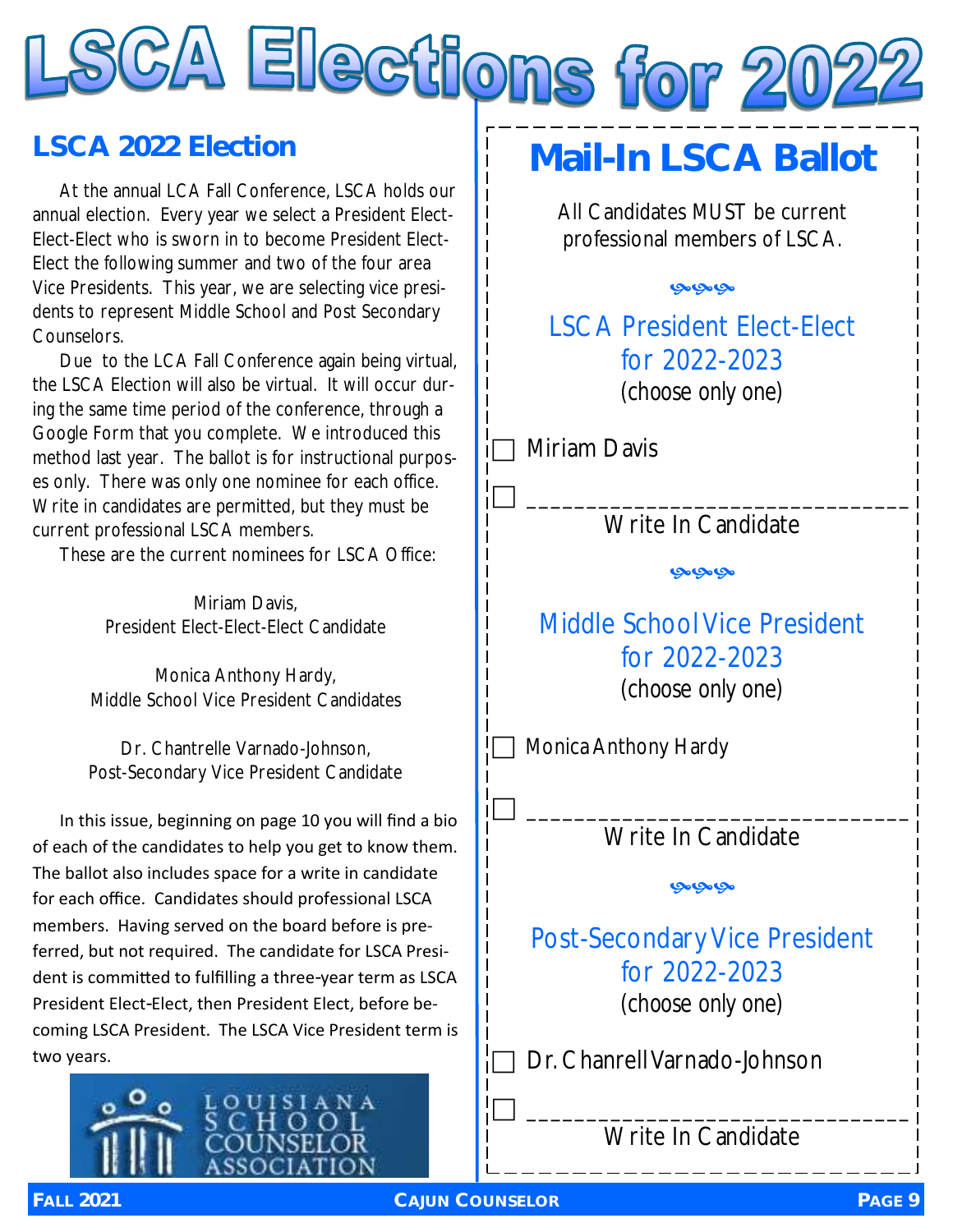# SCA Elections for 202

### **LSCA 2022 Election**

At the annual LCA Fall Conference, LSCA holds our annual election. Every year we select a President Elect-Elect-Elect who is sworn in to become President Elect-Elect the following summer and two of the four area Vice Presidents. This year, we are selecting vice presidents to represent Middle School and Post Secondary Counselors.

Due to the LCA Fall Conference again being virtual, the LSCA Election will also be virtual. It will occur during the same time period of the conference, through a Google Form that you complete. We introduced this method last year. The ballot is for instructional purposes only. There was only one nominee for each office. Write in candidates are permitted, but they must be current professional LSCA members.

These are the current nominees for LSCA Office:

Miriam Davis, President Elect-Elect-Elect Candidate

Monica Anthony Hardy, Middle School Vice President Candidates

Dr. Chantrelle Varnado-Johnson, Post-Secondary Vice President Candidate

In this issue, beginning on page 10 you will find a bio of each of the candidates to help you get to know them. The ballot also includes space for a write in candidate for each office. Candidates should professional LSCA members. Having served on the board before is preferred, but not required. The candidate for LSCA President is committed to fulfilling a three-year term as LSCA President Elect-Elect, then President Elect, before becoming LSCA President. The LSCA Vice President term is two years.



## **Mail-In LSCA Ballot**

All Candidates MUST be current professional members of LSCA.

 $Q_0Q_0Q_0$ 

LSCA President Elect-Elect for 2022-2023 *(choose only one)*

Miriam Davis

 \_\_\_\_\_\_\_\_\_\_\_\_\_\_\_\_\_\_\_\_\_\_\_\_\_\_\_\_\_\_\_\_ Write In Candidate

محامحا

Middle School Vice President for 2022-2023 *(choose only one)*

Monica Anthony Hardy

 \_\_\_\_\_\_\_\_\_\_\_\_\_\_\_\_\_\_\_\_\_\_\_\_\_\_\_\_\_\_\_\_ Write In Candidate

يوبونو

Post-Secondary Vice President for 2022-2023 *(choose only one)*

Dr. Chanrell Varnado-Johnson

 \_\_\_\_\_\_\_\_\_\_\_\_\_\_\_\_\_\_\_\_\_\_\_\_\_\_\_\_\_\_\_\_ Write In Candidate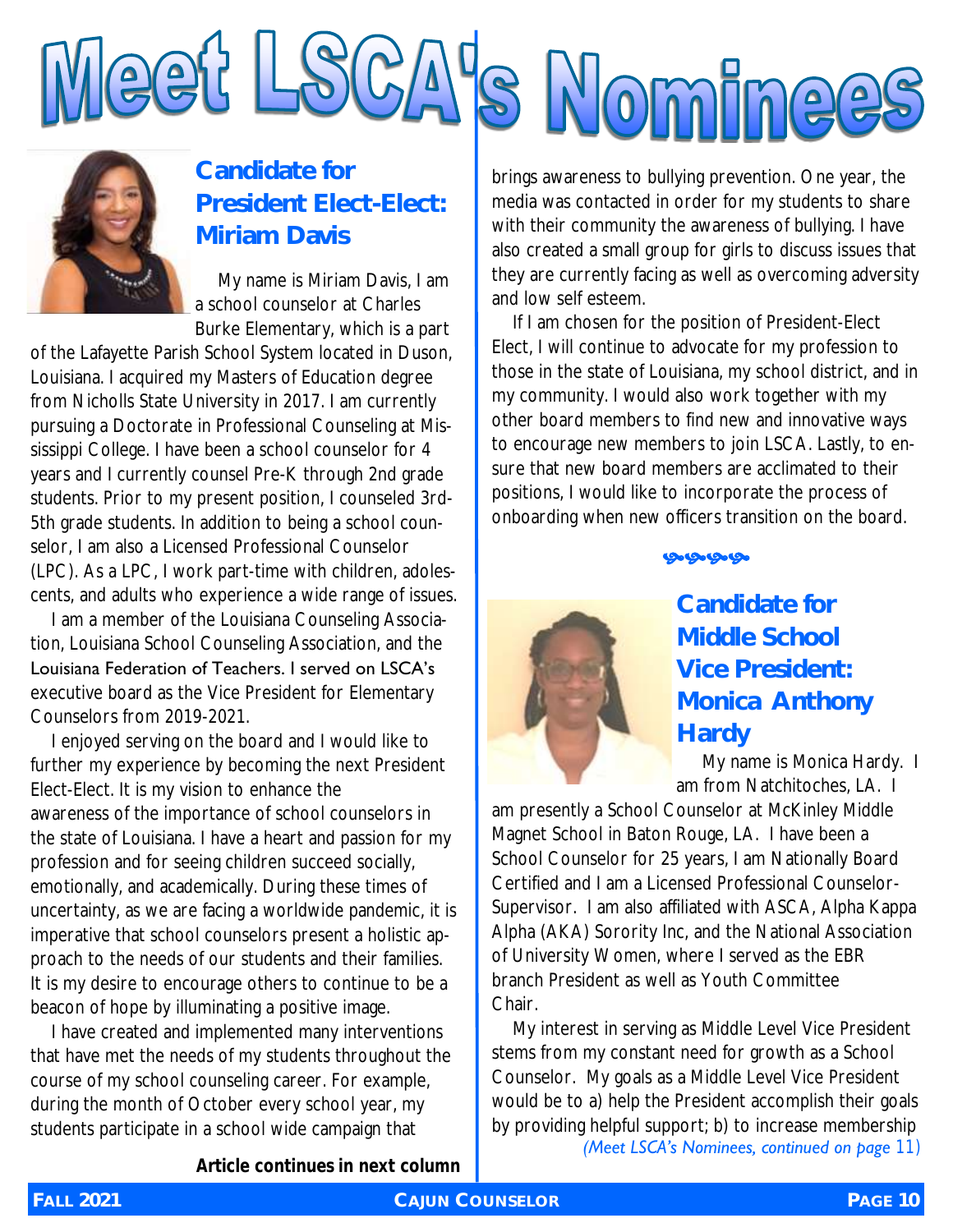



#### **Candidate for President Elect-Elect: Miriam Davis**

 My name is Miriam Davis, I am a school counselor at Charles Burke Elementary, which is a part

of the Lafayette Parish School System located in Duson, Louisiana. I acquired my Masters of Education degree from Nicholls State University in 2017. I am currently pursuing a Doctorate in Professional Counseling at Mississippi College. I have been a school counselor for 4 years and I currently counsel Pre-K through 2nd grade students. Prior to my present position, I counseled 3rd-5th grade students. In addition to being a school counselor, I am also a Licensed Professional Counselor (LPC). As a LPC, I work part-time with children, adolescents, and adults who experience a wide range of issues.

I am a member of the Louisiana Counseling Association, Louisiana School Counseling Association, and the Louisiana Federation of Teachers. I served on LSCA's executive board as the Vice President for Elementary Counselors from 2019-2021.

I enjoyed serving on the board and I would like to further my experience by becoming the next President Elect-Elect. It is my vision to enhance the awareness of the importance of school counselors in the state of Louisiana. I have a heart and passion for my profession and for seeing children succeed socially, emotionally, and academically. During these times of uncertainty, as we are facing a worldwide pandemic, it is imperative that school counselors present a holistic approach to the needs of our students and their families. It is my desire to encourage others to continue to be a beacon of hope by illuminating a positive image.

I have created and implemented many interventions that have met the needs of my students throughout the course of my school counseling career. For example, during the month of October every school year, my students participate in a school wide campaign that

brings awareness to bullying prevention. One year, the media was contacted in order for my students to share with their community the awareness of bullying. I have also created a small group for girls to discuss issues that they are currently facing as well as overcoming adversity and low self esteem.

If I am chosen for the position of President-Elect Elect, I will continue to advocate for my profession to those in the state of Louisiana, my school district, and in my community. I would also work together with my other board members to find new and innovative ways to encourage new members to join LSCA. Lastly, to ensure that new board members are acclimated to their positions, I would like to incorporate the process of onboarding when new officers transition on the board.

ড়৽ড়৽ড়৽ড়৽



#### **Candidate for Middle School Vice President: Monica Anthony Hardy**

 My name is Monica Hardy. I am from Natchitoches, LA. I

am presently a School Counselor at McKinley Middle Magnet School in Baton Rouge, LA. I have been a School Counselor for 25 years, I am Nationally Board Certified and I am a Licensed Professional Counselor-Supervisor. I am also affiliated with ASCA, Alpha Kappa Alpha (AKA) Sorority Inc, and the National Association of University Women, where I served as the EBR branch President as well as Youth Committee Chair.

My interest in serving as Middle Level Vice President stems from my constant need for growth as a School Counselor. My goals as a Middle Level Vice President would be to a) help the President accomplish their goals by providing helpful support; b) to increase membership *(Meet LSCA's Nominees, continued on page 11)*

*Article continues in next column*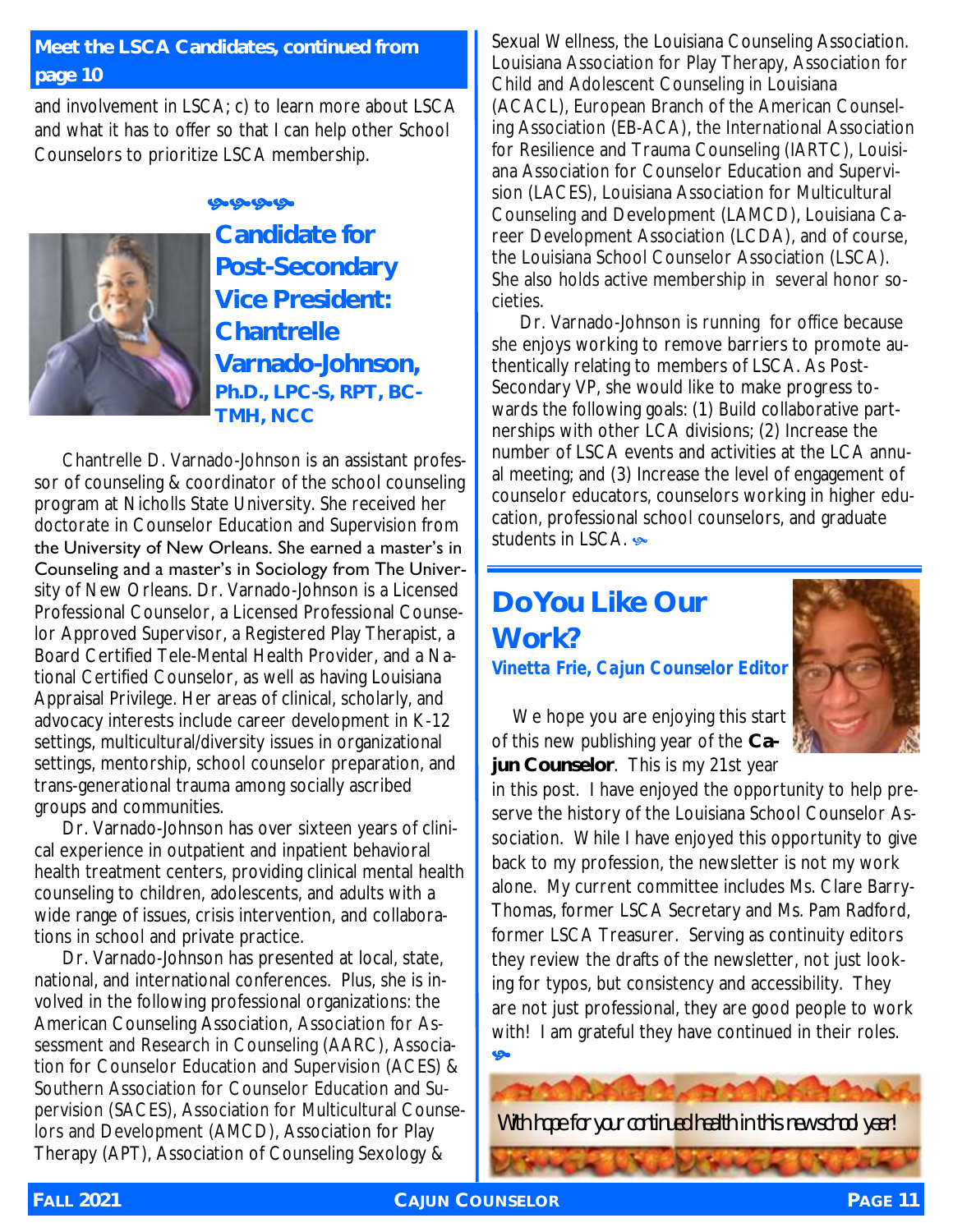#### **Meet the LSCA Candidates, continued from page 10**

and involvement in LSCA; c) to learn more about LSCA and what it has to offer so that I can help other School Counselors to prioritize LSCA membership.

ஒஒஒஒ



**Candidate for Post-Secondary Vice President: Chantrelle Varnado-Johnson, Ph.D., LPC-S, RPT, BC-**

**TMH, NCC**

Chantrelle D. Varnado-Johnson is an assistant professor of counseling & coordinator of the school counseling program at Nicholls State University. She received her doctorate in Counselor Education and Supervision from the University of New Orleans. She earned a master's in Counseling and a master's in Sociology from The University of New Orleans. Dr. Varnado-Johnson is a Licensed Professional Counselor, a Licensed Professional Counselor Approved Supervisor, a Registered Play Therapist, a Board Certified Tele-Mental Health Provider, and a National Certified Counselor, as well as having Louisiana Appraisal Privilege. Her areas of clinical, scholarly, and advocacy interests include career development in K-12 settings, multicultural/diversity issues in organizational settings, mentorship, school counselor preparation, and trans-generational trauma among socially ascribed groups and communities.

Dr. Varnado-Johnson has over sixteen years of clinical experience in outpatient and inpatient behavioral health treatment centers, providing clinical mental health counseling to children, adolescents, and adults with a wide range of issues, crisis intervention, and collaborations in school and private practice.

Dr. Varnado-Johnson has presented at local, state, national, and international conferences. Plus, she is involved in the following professional organizations: the American Counseling Association, Association for Assessment and Research in Counseling (AARC), Association for Counselor Education and Supervision (ACES) & Southern Association for Counselor Education and Supervision (SACES), Association for Multicultural Counselors and Development (AMCD), Association for Play Therapy (APT), Association of Counseling Sexology &

Sexual Wellness, the Louisiana Counseling Association. Louisiana Association for Play Therapy, Association for Child and Adolescent Counseling in Louisiana (ACACL), European Branch of the American Counseling Association (EB-ACA), the International Association for Resilience and Trauma Counseling (IARTC), Louisiana Association for Counselor Education and Supervision (LACES), Louisiana Association for Multicultural Counseling and Development (LAMCD), Louisiana Career Development Association (LCDA), and of course, the Louisiana School Counselor Association (LSCA). She also holds active membership in several honor societies.

Dr. Varnado-Johnson is running for office because she enjoys working to remove barriers to promote authentically relating to members of LSCA. As Post-Secondary VP, she would like to make progress towards the following goals: (1) Build collaborative partnerships with other LCA divisions; (2) Increase the number of LSCA events and activities at the LCA annual meeting; and (3) Increase the level of engagement of counselor educators, counselors working in higher education, professional school counselors, and graduate students in LSCA.

#### **Do You Like Our Work?** *Vinetta Frie, Cajun Counselor Editor*



We hope you are enjoying this start of this new publishing year of the **Cajun Counselor**. This is my 21st year

in this post. I have enjoyed the opportunity to help preserve the history of the Louisiana School Counselor Association. While I have enjoyed this opportunity to give back to my profession, the newsletter is not my work alone. My current committee includes Ms. Clare Barry-Thomas, former LSCA Secretary and Ms. Pam Radford, former LSCA Treasurer. Serving as continuity editors they review the drafts of the newsletter, not just looking for typos, but consistency and accessibility. They are not just professional, they are good people to work with! I am grateful they have continued in their roles. Ģ.

With hope for your continued health in this new school year!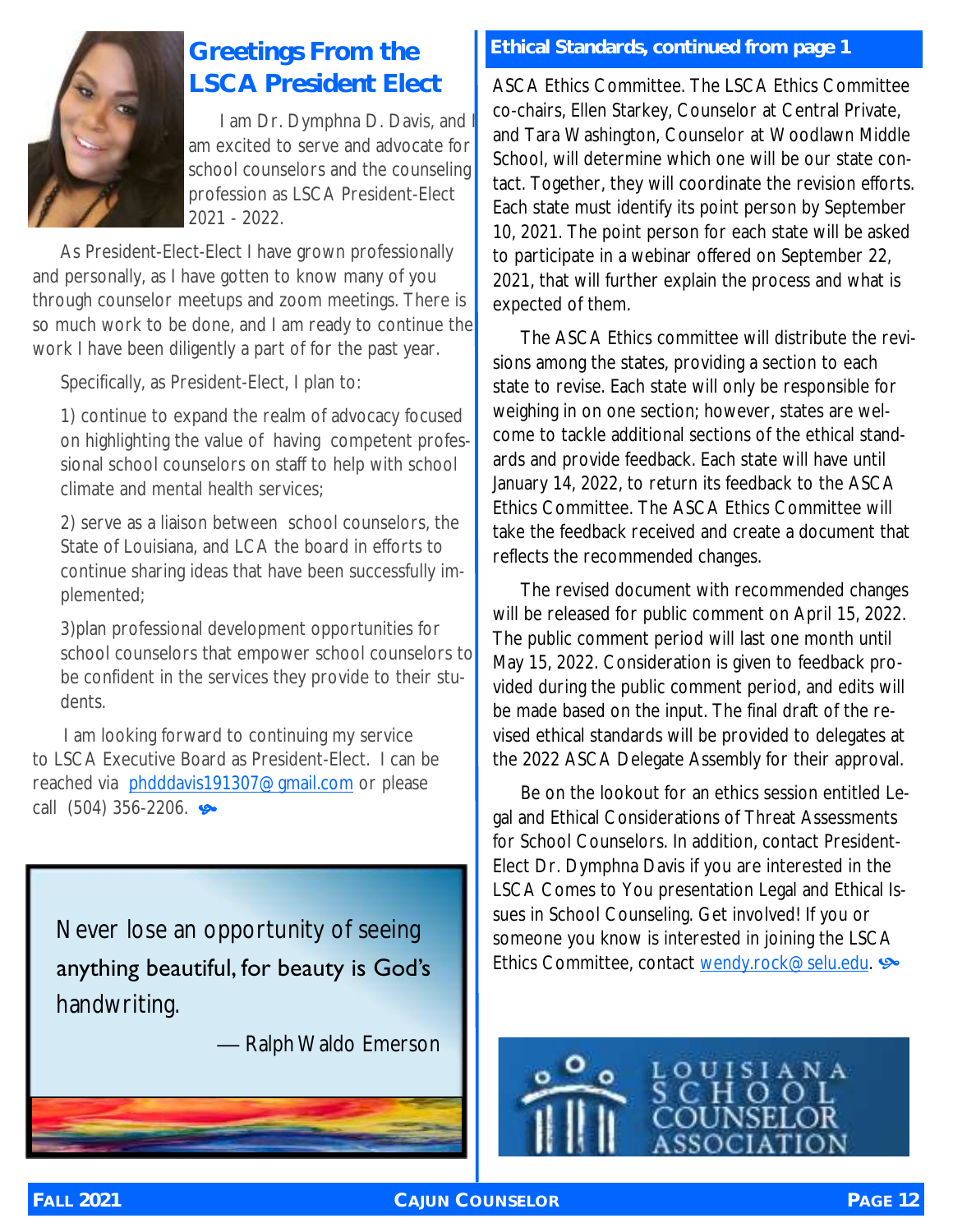

## **LSCA President Elect**

I am Dr. Dymphna D. Davis, and am excited to serve and advocate for school counselors and the counseling profession as LSCA President-Elect 2021 - 2022.

As President-Elect-Elect I have grown professionally and personally, as I have gotten to know many of you through counselor meetups and zoom meetings. There is so much work to be done, and I am ready to continue the work I have been diligently a part of for the past year.

Specifically, as President-Elect, I plan to:

1) continue to expand the realm of advocacy focused on highlighting the value of having competent professional school counselors on staff to help with school climate and mental health services;

2) serve as a liaison between school counselors, the State of Louisiana, and LCA the board in efforts to continue sharing ideas that have been successfully implemented;

3)plan professional development opportunities for school counselors that empower school counselors to be confident in the services they provide to their students.

 I am looking forward to continuing my service to LSCA Executive Board as President-Elect. I can be reached via [phdddavis191307@gmail.com](mailto:phdddavis191307@gmail.com) or please call  $(504)$  356-2206.

Never lose an opportunity of seeing anything beautiful, for beauty is God's handwriting.

— Ralph Waldo Emerson

#### **Greetings From the Ethical Standards, continued from page 1**

ASCA Ethics Committee. The LSCA Ethics Committee co-chairs, Ellen Starkey, Counselor at Central Private, and Tara Washington, Counselor at Woodlawn Middle School, will determine which one will be our state contact. Together, they will coordinate the revision efforts. Each state must identify its point person by September 10, 2021. The point person for each state will be asked to participate in a webinar offered on September 22, 2021, that will further explain the process and what is expected of them.

The ASCA Ethics committee will distribute the revisions among the states, providing a section to each state to revise. Each state will only be responsible for weighing in on one section; however, states are welcome to tackle additional sections of the ethical standards and provide feedback. Each state will have until January 14, 2022, to return its feedback to the ASCA Ethics Committee. The ASCA Ethics Committee will take the feedback received and create a document that reflects the recommended changes.

The revised document with recommended changes will be released for public comment on April 15, 2022. The public comment period will last one month until May 15, 2022. Consideration is given to feedback provided during the public comment period, and edits will be made based on the input. The final draft of the revised ethical standards will be provided to delegates at the 2022 ASCA Delegate Assembly for their approval.

Be on the lookout for an ethics session entitled Legal and Ethical Considerations of Threat Assessments for School Counselors. In addition, contact President-Elect Dr. Dymphna Davis if you are interested in the LSCA Comes to You presentation Legal and Ethical Issues in School Counseling. Get involved! If you or someone you know is interested in joining the LSCA Ethics Committee, contact wendy.rock@selu.edu.

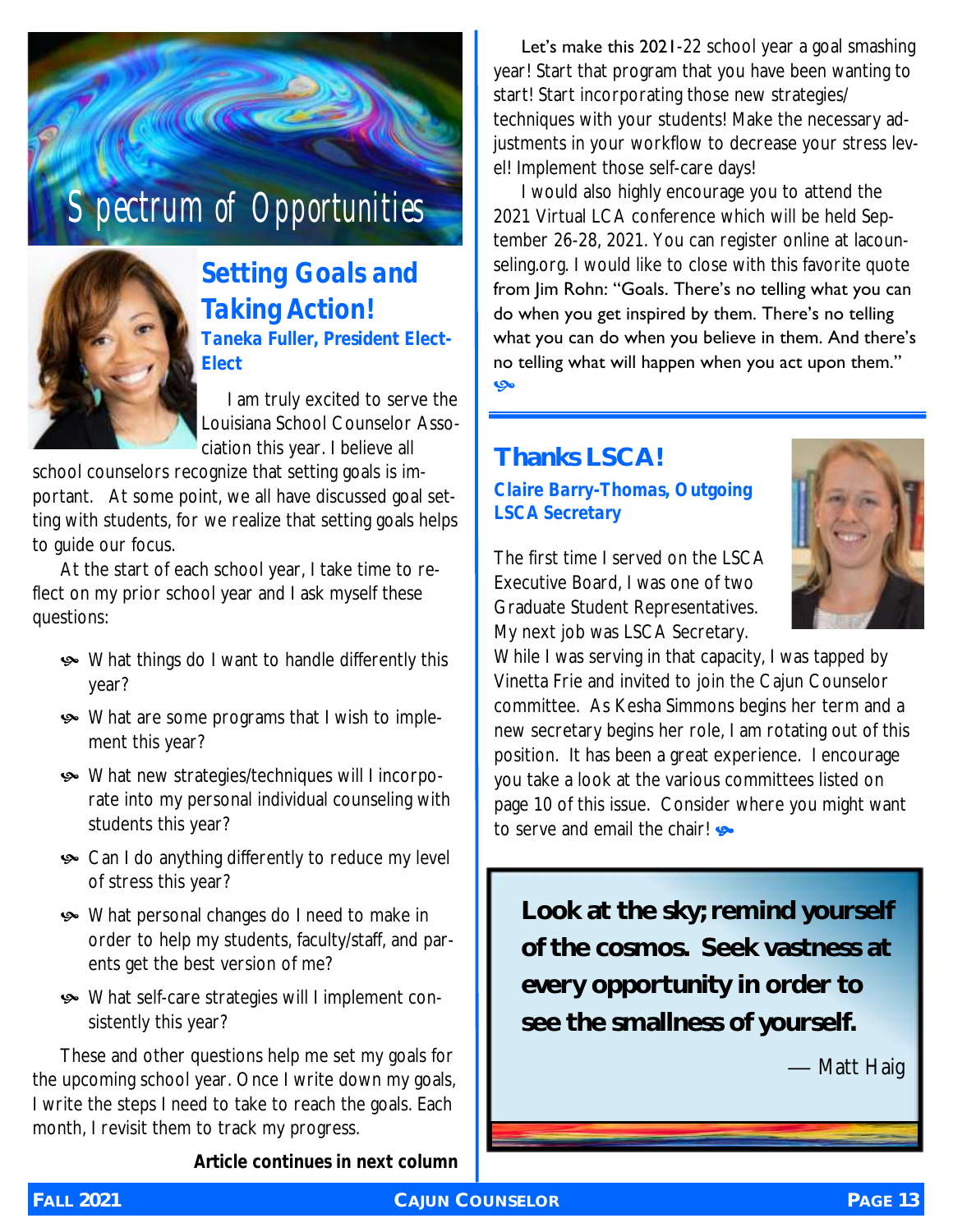



*Setting Goals and Taking Action! Taneka Fuller, President Elect-Elect* 

 I am truly excited to serve the Louisiana School Counselor Association this year. I believe all

school counselors recognize that setting goals is important. At some point, we all have discussed goal setting with students, for we realize that setting goals helps to guide our focus.

At the start of each school year, I take time to reflect on my prior school year and I ask myself these questions:

- What things do I want to handle differently this year?
- What are some programs that I wish to implement this year?
- What new strategies/techniques will I incorporate into my personal individual counseling with students this year?
- **•** Can I do anything differently to reduce my level of stress this year?
- What personal changes do I need to make in order to help my students, faculty/staff, and parents get the best version of me?
- What self-care strategies will I implement consistently this year?

These and other questions help me set my goals for the upcoming school year. Once I write down my goals, I write the steps I need to take to reach the goals. Each month, I revisit them to track my progress.

*Article continues in next column*

Let's make this 2021-22 school year a goal smashing year! Start that program that you have been wanting to start! Start incorporating those new strategies/ techniques with your students! Make the necessary adjustments in your workflow to decrease your stress level! Implement those self-care days!

I would also highly encourage you to attend the 2021 Virtual LCA conference which will be held September 26-28, 2021. You can register online at lacounseling.org. I would like to close with this favorite quote from Jim Rohn: "Goals. There's no telling what you can do when you get inspired by them. There's no telling what you can do when you believe in them. And there's no telling what will happen when you act upon them." مي

#### **Thanks LSCA!** *Claire Barry-Thomas, Outgoing LSCA Secretary*



The first time I served on the LSCA Executive Board, I was one of two Graduate Student Representatives. My next job was LSCA Secretary.

While I was serving in that capacity, I was tapped by Vinetta Frie and invited to join the Cajun Counselor committee. As Kesha Simmons begins her term and a new secretary begins her role, I am rotating out of this position. It has been a great experience. I encourage you take a look at the various committees listed on page 10 of this issue. Consider where you might want to serve and email the chair!

**Look at the sky; remind yourself of the cosmos. Seek vastness at every opportunity in order to see the smallness of yourself.** 

— Matt Haig